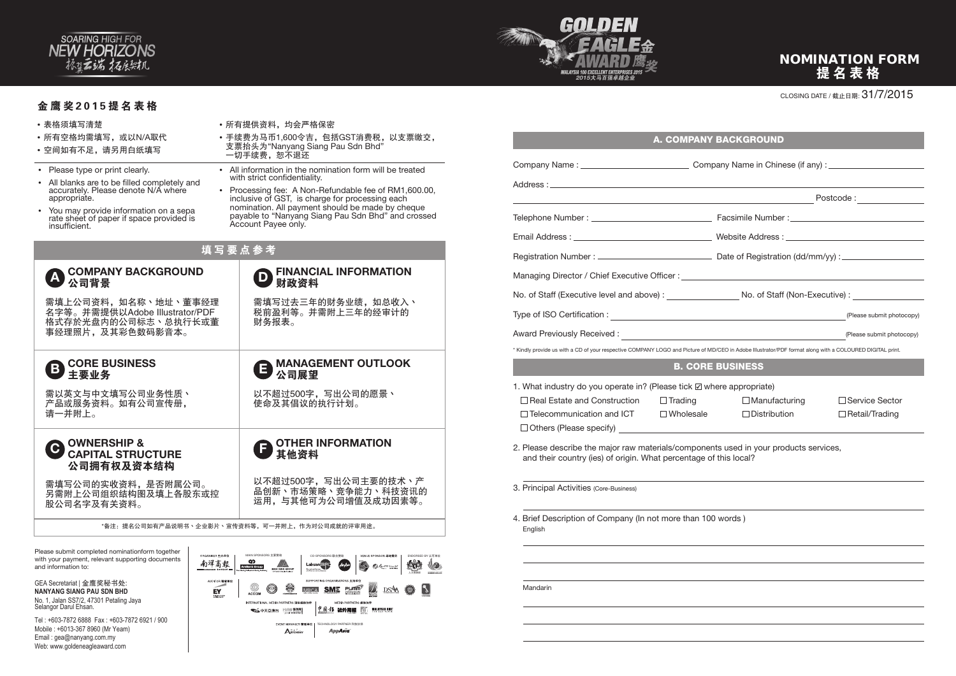#### CLOSING DATE / 截止日期: 31/7/2015

- 表格须填写清楚
- 所有空格均需填写, 或以N/A取代
- 空间如有不足,请另用白纸填写
- Please type or print clearly.
- All blanks are to be filled completely and accurately. Please denote N/A where appropriate.
- You may provide information on a sepa rate sheet of paper if space provided is insufficient.

以不超过500字,写出公司的愿景丶 使命及其倡议的执行计划。

需填写过去三年的财务业绩,如总收入、 税前盈利等。并需附上三年的经审计的 财务报表。

# **B** MANAGEMENT OUTLOOK<br>2 公司展望

- 所有提供资料,均会严格保密
- 手续费为马币1,600令吉,包括GST消费税,以支票缴交, 支票抬头为"Nanyang Siang Pau Sdn Bhd" 一切手续费,恕不退还
- All information in the nomination form will be treated with strict confidentiality.
- Processing fee: A Non-Refundable fee of RM1,600.00, inclusive of GST, is charge for processing each nomination. All payment should be made by cheque payable to "Nanyang Siang Pau Sdn Bhd" and crossed Account Payee only.

# 填写要点参考



### 金鹰奖2015提名表格

## **A COMPANY BACKGROUND** 公司背景

# **D** FINANCIAL INFORMATION 财政资料

需填上公司资料,如名称丶地址丶董事经理 名字等。并需提供以Adobe Illustrator/PDF 格式存於光盘内的公司标志丶总执行长或董 事经理照片,及其彩色数码影音本。

**CORE BUSINESS** 

需以英文与中文填写公司业务性质丶 产品或服务资料。如有公司宣传册, 请一并附上。

需填写公司的实收资料,是否附属公司。 另需附上公司组织结构图及填上各股东或控 股公司名字及有关资料。

以不超过500字,写出公司主要的技术丶产 品创新丶市场策略丶竞争能力丶科技资讯的 运用,与其他可为公司增值及成功因素等。

\*备注:提名公司如有产品说明书丶企业影片丶宣传资料等,可一并附上,作为对公司成就的评审用途。

Please submit completed nominationform together with your payment, relevant supporting documents and information to:

GEA Secretariat | 金鹰奖秘书处: **NANYANG SIANG PAU SDN BHD** No. 1, Jalan SS7/2, 47301 Petaling Jaya Selangor Darul Ehsan.

Tel : +603-7872 6888 Fax : +603-7872 6921 / 900 Mobile : +6013-367 8960 (Mr Yeam) Email : gea@nanyang.com.my Web: www.goldeneagleaward.com



OWNERSHIP & 公司拥有权及资本结构

# 提名表格 NOMINATION FORM



|                                                                                                                                                            |                                                                                                                                                                                                                                                                                       | □ Service Sector                                                                                                                                                                                                                                                                                                                                                                                                    |  |
|------------------------------------------------------------------------------------------------------------------------------------------------------------|---------------------------------------------------------------------------------------------------------------------------------------------------------------------------------------------------------------------------------------------------------------------------------------|---------------------------------------------------------------------------------------------------------------------------------------------------------------------------------------------------------------------------------------------------------------------------------------------------------------------------------------------------------------------------------------------------------------------|--|
|                                                                                                                                                            |                                                                                                                                                                                                                                                                                       | $\Box$ Retail/Trading                                                                                                                                                                                                                                                                                                                                                                                               |  |
|                                                                                                                                                            |                                                                                                                                                                                                                                                                                       |                                                                                                                                                                                                                                                                                                                                                                                                                     |  |
| 2. Please describe the major raw materials/components used in your products services,<br>and their country (ies) of origin. What percentage of this local? |                                                                                                                                                                                                                                                                                       |                                                                                                                                                                                                                                                                                                                                                                                                                     |  |
|                                                                                                                                                            |                                                                                                                                                                                                                                                                                       |                                                                                                                                                                                                                                                                                                                                                                                                                     |  |
|                                                                                                                                                            |                                                                                                                                                                                                                                                                                       |                                                                                                                                                                                                                                                                                                                                                                                                                     |  |
|                                                                                                                                                            |                                                                                                                                                                                                                                                                                       |                                                                                                                                                                                                                                                                                                                                                                                                                     |  |
|                                                                                                                                                            |                                                                                                                                                                                                                                                                                       |                                                                                                                                                                                                                                                                                                                                                                                                                     |  |
|                                                                                                                                                            |                                                                                                                                                                                                                                                                                       |                                                                                                                                                                                                                                                                                                                                                                                                                     |  |
|                                                                                                                                                            |                                                                                                                                                                                                                                                                                       |                                                                                                                                                                                                                                                                                                                                                                                                                     |  |
|                                                                                                                                                            |                                                                                                                                                                                                                                                                                       |                                                                                                                                                                                                                                                                                                                                                                                                                     |  |
|                                                                                                                                                            | <b>B. CORE BUSINESS</b><br>1. What industry do you operate in? (Please tick $\boxtimes$ where appropriate)<br>$\Box$ Real Estate and Construction $\Box$ Trading<br>$\Box$ Telecommunication and ICT $\Box$ Wholesale<br>4. Brief Description of Company (In not more than 100 words) | <b>A. COMPANY BACKGROUND</b><br>No. of Staff (Executive level and above) : _________________________ No. of Staff (Non-Executive) : __________<br>* Kindly provide us with a CD of your respective COMPANY LOGO and Picture of MD/CEO in Adobe Illustrator/PDF format along with a COLOURED DIGITAL print.<br>$\Box$ Manufacturing<br>$\Box$ Distribution<br>□ Others (Please specify)<br>□ Others (Please specify) |  |